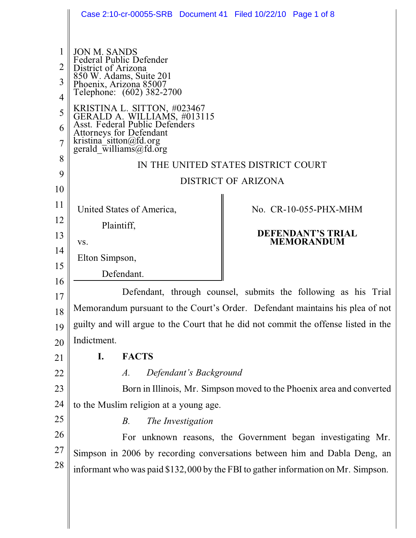|                               | Case 2:10-cr-00055-SRB Document 41 Filed 10/22/10 Page 1 of 8                                                                                                                             |
|-------------------------------|-------------------------------------------------------------------------------------------------------------------------------------------------------------------------------------------|
| 2<br>3<br>$\overline{4}$<br>5 | <b>JON M. SANDS</b><br>Federal Public Defender<br>District of Arizona<br>850 W. Adams, Suite 201<br>Phoenix, Arizona 85007<br>Telephone: (602) 382-2700                                   |
| 6<br>$\overline{7}$           | KRISTINA L. SITTON, #023467<br>GERALD A. WILLIAMS, #013115<br>Asst. Federal Public Defenders<br>Attorneys for Defendant<br>kristina_sitton@fd.org<br>gerald $\overline{w}$ illiams@fd.org |
| 8                             | IN THE UNITED STATES DISTRICT COURT                                                                                                                                                       |
| 9                             | <b>DISTRICT OF ARIZONA</b>                                                                                                                                                                |
| 10<br>11                      |                                                                                                                                                                                           |
| 12                            | United States of America,<br>No. CR-10-055-PHX-MHM                                                                                                                                        |
| 13                            | Plaintiff,<br><b>DEFENDANT'S TRIAL</b>                                                                                                                                                    |
| 14                            | <b>MEMORANDUM</b><br>VS.                                                                                                                                                                  |
| 15                            | Elton Simpson,                                                                                                                                                                            |
| 16                            | Defendant.                                                                                                                                                                                |
| 17                            | Defendant, through counsel, submits the following as his Trial                                                                                                                            |
| 18                            | Memorandum pursuant to the Court's Order. Defendant maintains his plea of not                                                                                                             |
| 19                            | guilty and will argue to the Court that he did not commit the offense listed in the                                                                                                       |
| 20                            | Indictment.                                                                                                                                                                               |
| 21                            | <b>FACTS</b><br>I.                                                                                                                                                                        |
| 22                            | Defendant's Background<br>$A$ .                                                                                                                                                           |
| 23                            | Born in Illinois, Mr. Simpson moved to the Phoenix area and converted                                                                                                                     |
| 24                            | to the Muslim religion at a young age.                                                                                                                                                    |
| 25                            | The Investigation<br>$B_{\cdot}$                                                                                                                                                          |
| 26                            | For unknown reasons, the Government began investigating Mr.                                                                                                                               |
| 27                            | Simpson in 2006 by recording conversations between him and Dabla Deng, an                                                                                                                 |
| 28                            | informant who was paid \$132,000 by the FBI to gather information on Mr. Simpson.                                                                                                         |
|                               |                                                                                                                                                                                           |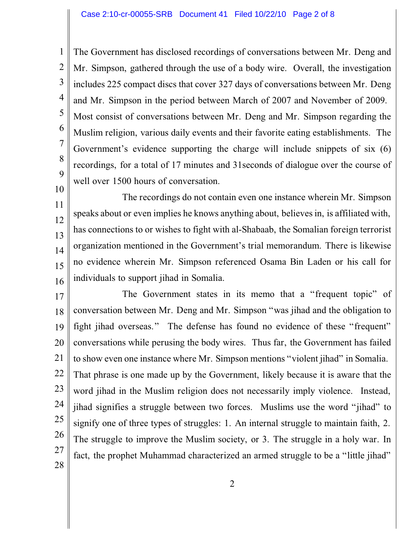1 2 3 4 5 6 7 8 9 The Government has disclosed recordings of conversations between Mr. Deng and Mr. Simpson, gathered through the use of a body wire. Overall, the investigation includes 225 compact discs that cover 327 days of conversations between Mr. Deng and Mr. Simpson in the period between March of 2007 and November of 2009. Most consist of conversations between Mr. Deng and Mr. Simpson regarding the Muslim religion, various daily events and their favorite eating establishments. The Government's evidence supporting the charge will include snippets of six (6) recordings, for a total of 17 minutes and 31seconds of dialogue over the course of well over 1500 hours of conversation.

10

11 12 13 14 15 16 The recordings do not contain even one instance wherein Mr. Simpson speaks about or even implies he knows anything about, believes in, is affiliated with, has connections to or wishes to fight with al-Shabaab, the Somalian foreign terrorist organization mentioned in the Government's trial memorandum. There is likewise no evidence wherein Mr. Simpson referenced Osama Bin Laden or his call for individuals to support jihad in Somalia.

17 18 19 20 21 22 23 24 25 26 27 28 The Government states in its memo that a "frequent topic" of conversation between Mr. Deng and Mr. Simpson "was jihad and the obligation to fight jihad overseas." The defense has found no evidence of these "frequent" conversations while perusing the body wires. Thus far, the Government has failed to show even one instance where Mr. Simpson mentions "violent jihad" in Somalia. That phrase is one made up by the Government, likely because it is aware that the word jihad in the Muslim religion does not necessarily imply violence. Instead, jihad signifies a struggle between two forces. Muslims use the word "jihad" to signify one of three types of struggles: 1. An internal struggle to maintain faith, 2. The struggle to improve the Muslim society, or 3. The struggle in a holy war. In fact, the prophet Muhammad characterized an armed struggle to be a "little jihad"

2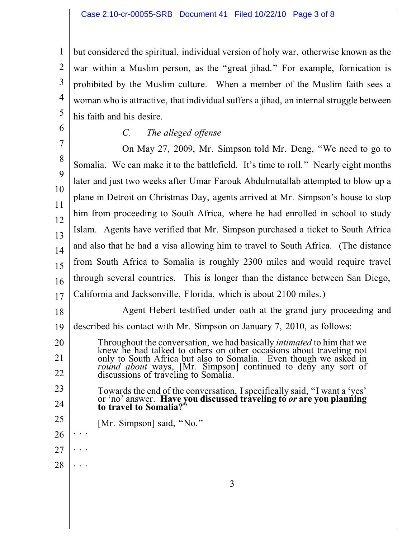1 2 3 4 5 but considered the spiritual, individual version of holy war, otherwise known as the war within a Muslim person, as the "great jihad." For example, fornication is prohibited by the Muslim culture. When a member of the Muslim faith sees a woman who is attractive, that individual suffers a jihad, an internal struggle between his faith and his desire.

*C. The alleged offense*

6

20

21

22

23

24

25

26

27

. . .

. . .

28

7 8 9 10 11 12 13 14 15 16 17 On May 27, 2009, Mr. Simpson told Mr. Deng, "We need to go to Somalia. We can make it to the battlefield. It's time to roll." Nearly eight months later and just two weeks after Umar Farouk Abdulmutallab attempted to blow up a plane in Detroit on Christmas Day, agents arrived at Mr. Simpson's house to stop him from proceeding to South Africa, where he had enrolled in school to study Islam. Agents have verified that Mr. Simpson purchased a ticket to South Africa and also that he had a visa allowing him to travel to South Africa. (The distance from South Africa to Somalia is roughly 2300 miles and would require travel through several countries. This is longer than the distance between San Diego, California and Jacksonville, Florida, which is about 2100 miles.)

18 19 Agent Hebert testified under oath at the grand jury proceeding and described his contact with Mr. Simpson on January 7, 2010, as follows:

Throughout the conversation, we had basically *intimated* to him that we knew he had talked to others on other occasions about traveling not only to South Africa but also to Somalia. Even though we asked in *round about* ways, [Mr. Simpson] continued to deny any sort of discussions of traveling to Somalia.

Towards the end of the conversation, I specifically said, "I want a 'yes' or 'no' answer. **Have you discussed traveling to** *or* **are you planning to travel to Somalia?**"

- [Mr. Simpson] said, "No." . . .
- 3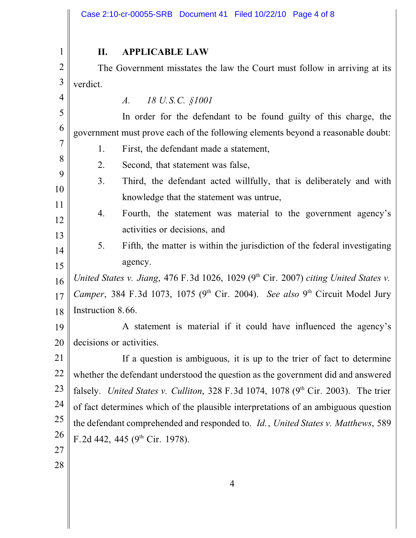1 2 3 4 5 6 7 8 9 10 11 12 13 14 15 16 17 18 19 20 21 22 23 24 25 26 27 **II. APPLICABLE LAW** The Government misstates the law the Court must follow in arriving at its verdict. *A. 18 U.S.C. §1001* In order for the defendant to be found guilty of this charge, the government must prove each of the following elements beyond a reasonable doubt: 1. First, the defendant made a statement, 2. Second, that statement was false, 3. Third, the defendant acted willfully, that is deliberately and with knowledge that the statement was untrue, 4. Fourth, the statement was material to the government agency's activities or decisions, and 5. Fifth, the matter is within the jurisdiction of the federal investigating agency. *United States v. Jiang, 476 F.3d 1026, 1029 (9th Cir. 2007) citing United States v.* Camper, 384 F.3d 1073, 1075 (9<sup>th</sup> Cir. 2004). *See also* 9<sup>th</sup> Circuit Model Jury Instruction 8.66. A statement is material if it could have influenced the agency's decisions or activities. If a question is ambiguous, it is up to the trier of fact to determine whether the defendant understood the question as the government did and answered falsely. *United States v. Culliton*, 328 F.3d 1074, 1078 (9<sup>th</sup> Cir. 2003). The trier of fact determines which of the plausible interpretations of an ambiguous question the defendant comprehended and responded to. *Id.*, *United States v. Matthews*, 589 F.2d 442, 445 ( $9<sup>th</sup>$  Cir. 1978).

28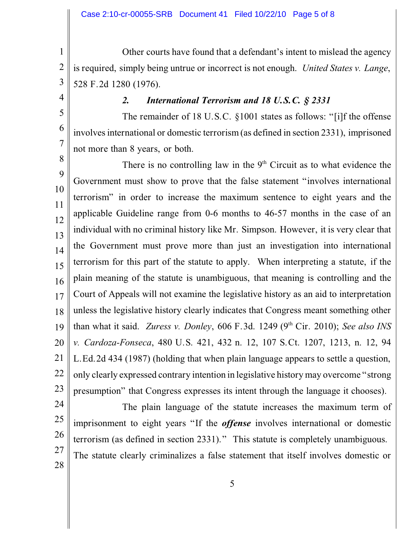1 2 3 Other courts have found that a defendant's intent to mislead the agency is required, simply being untrue or incorrect is not enough. *United States v. Lange*, 528 F.2d 1280 (1976).

4

5

6

7

## *2. International Terrorism and 18 U.S.C. § 2331*

The remainder of 18 U.S.C. §1001 states as follows: "[i]f the offense involves international or domestic terrorism (as defined in section 2331), imprisoned not more than 8 years, or both.

8 9 10 11 12 13 14 15 16 17 18 19 20 21 22 23 There is no controlling law in the  $9<sup>th</sup>$  Circuit as to what evidence the Government must show to prove that the false statement "involves international terrorism" in order to increase the maximum sentence to eight years and the applicable Guideline range from 0-6 months to 46-57 months in the case of an individual with no criminal history like Mr. Simpson. However, it is very clear that the Government must prove more than just an investigation into international terrorism for this part of the statute to apply. When interpreting a statute, if the plain meaning of the statute is unambiguous, that meaning is controlling and the Court of Appeals will not examine the legislative history as an aid to interpretation unless the legislative history clearly indicates that Congress meant something other than what it said. *Zuress v. Donley*, 606 F.3d. 1249 (9<sup>th</sup> Cir. 2010); *See also INS v. Cardoza-Fonseca*, 480 U.S. 421, 432 n. 12, 107 S.Ct. 1207, 1213, n. 12, 94 L.Ed.2d 434 (1987) (holding that when plain language appears to settle a question, only clearly expressed contrary intention in legislative history may overcome "strong presumption" that Congress expresses its intent through the language it chooses).

24 25 26 27 28 The plain language of the statute increases the maximum term of imprisonment to eight years "If the *offense* involves international or domestic terrorism (as defined in section 2331)." This statute is completely unambiguous. The statute clearly criminalizes a false statement that itself involves domestic or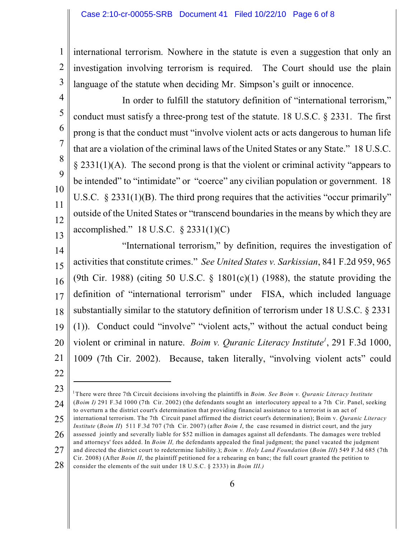1 2 3 international terrorism. Nowhere in the statute is even a suggestion that only an investigation involving terrorism is required. The Court should use the plain language of the statute when deciding Mr. Simpson's guilt or innocence.

In order to fulfill the statutory definition of "international terrorism," conduct must satisfy a three-prong test of the statute. 18 U.S.C. § 2331. The first prong is that the conduct must "involve violent acts or acts dangerous to human life that are a violation of the criminal laws of the United States or any State." 18 U.S.C. § 2331(1)(A). The second prong is that the violent or criminal activity "appears to be intended" to "intimidate" or "coerce" any civilian population or government. 18 U.S.C. § 2331(1)(B). The third prong requires that the activities "occur primarily" outside of the United States or "transcend boundaries in the means by which they are accomplished." 18 U.S.C. § 2331(1)(C)

14 15 16 17 18 19 20 21 "International terrorism," by definition, requires the investigation of activities that constitute crimes." *See United States v. Sarkissian*, 841 F.2d 959, 965 (9th Cir. 1988) (citing 50 U.S.C.  $\S$  1801(c)(1) (1988), the statute providing the definition of "international terrorism" under FISA, which included language substantially similar to the statutory definition of terrorism under 18 U.S.C. § 2331 (1)). Conduct could "involve" "violent acts," without the actual conduct being violent or criminal in nature. *Boim v. Quranic Literacy Institute<sup>1</sup>*, 291 F.3d 1000, 1009 (7th Cir. 2002). Because, taken literally, "involving violent acts" could

22

4

5

6

7

8

9

10

11

12

13

<sup>23</sup> 24 25 26 27 There were three 7th Circuit decisions involving the plaintiffs in *Boim. See Boim v. Quranic Literacy Institute* 1 (*Boim I)* 291 F.3d 1000 (7th Cir. 2002) (the defendants sought an interlocutory appeal to a 7th Cir. Panel, seeking to overturn a the district court's determination that providing financial assistance to a terrorist is an act of international terrorism. The 7th Circuit panel affirmed the district court's determination); Boim v. *Quranic Literacy Institute* (*Boim II*) 511 F.3d 707 (7th Cir. 2007) (after *Boim I*, the case resumed in district court, and the jury assessed jointly and severally liable for \$52 million in damages against all defendants. The damages were trebled and attorneys' fees added. In *Boim II, t*he defendants appealed the final judgment; the panel vacated the judgment and directed the district court to redetermine liability.); *Boim v. Holy Land Foundation* (*Boim III*) 549 F.3d 685 (7th Cir. 2008) (After *Boim II*, the plaintiff petitioned for a rehearing en banc; the full court granted the petition to

<sup>28</sup> consider the elements of the suit under 18 U.S.C. § 2333) in *Boim III.)*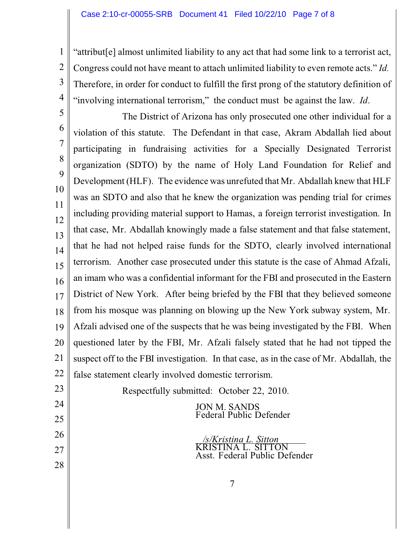1 2 3 4 "attribut[e] almost unlimited liability to any act that had some link to a terrorist act, Congress could not have meant to attach unlimited liability to even remote acts." *Id.*  Therefore, in order for conduct to fulfill the first prong of the statutory definition of "involving international terrorism," the conduct must be against the law. *Id*.

5 6 7 8 9 10 11 12 13 14 15 16 17 18 19 20 21 22 The District of Arizona has only prosecuted one other individual for a violation of this statute. The Defendant in that case, Akram Abdallah lied about participating in fundraising activities for a Specially Designated Terrorist organization (SDTO) by the name of Holy Land Foundation for Relief and Development (HLF). The evidence was unrefuted that Mr. Abdallah knew that HLF was an SDTO and also that he knew the organization was pending trial for crimes including providing material support to Hamas, a foreign terrorist investigation. In that case, Mr. Abdallah knowingly made a false statement and that false statement, that he had not helped raise funds for the SDTO, clearly involved international terrorism. Another case prosecuted under this statute is the case of Ahmad Afzali, an imam who was a confidential informant for the FBI and prosecuted in the Eastern District of New York. After being briefed by the FBI that they believed someone from his mosque was planning on blowing up the New York subway system, Mr. Afzali advised one of the suspects that he was being investigated by the FBI. When questioned later by the FBI, Mr. Afzali falsely stated that he had not tipped the suspect off to the FBI investigation. In that case, as in the case of Mr. Abdallah, the false statement clearly involved domestic terrorism.

Respectfully submitted: October 22, 2010.

23

24

25

26

27

28

JON M. SANDS Federal Public Defender

*/s/Kristina L. Sitton* TINA L. SITTON Asst. Federal Public Defender